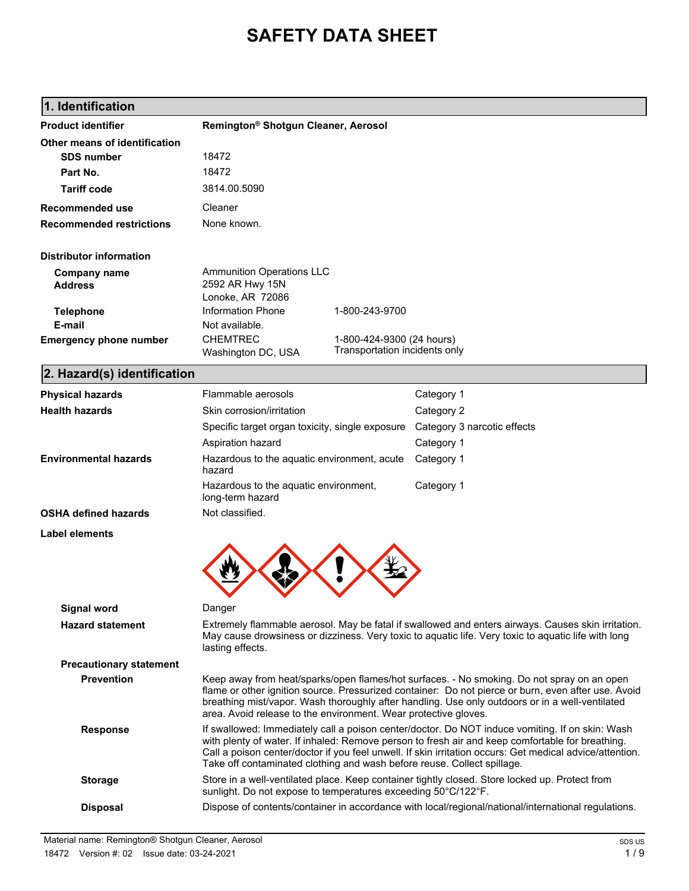# **SAFETY DATA SHEET**

| <b>Product identifier</b>             | Remington <sup>®</sup> Shotgun Cleaner, Aerosol                                                                                                                                                                                                                                                                                                                                            |                                                            |                                                                                                     |
|---------------------------------------|--------------------------------------------------------------------------------------------------------------------------------------------------------------------------------------------------------------------------------------------------------------------------------------------------------------------------------------------------------------------------------------------|------------------------------------------------------------|-----------------------------------------------------------------------------------------------------|
| Other means of identification         |                                                                                                                                                                                                                                                                                                                                                                                            |                                                            |                                                                                                     |
| <b>SDS number</b>                     | 18472                                                                                                                                                                                                                                                                                                                                                                                      |                                                            |                                                                                                     |
| Part No.                              | 18472                                                                                                                                                                                                                                                                                                                                                                                      |                                                            |                                                                                                     |
| <b>Tariff code</b>                    | 3814.00.5090                                                                                                                                                                                                                                                                                                                                                                               |                                                            |                                                                                                     |
| <b>Recommended use</b>                | Cleaner                                                                                                                                                                                                                                                                                                                                                                                    |                                                            |                                                                                                     |
| <b>Recommended restrictions</b>       | None known.                                                                                                                                                                                                                                                                                                                                                                                |                                                            |                                                                                                     |
| <b>Distributor information</b>        |                                                                                                                                                                                                                                                                                                                                                                                            |                                                            |                                                                                                     |
| <b>Company name</b><br><b>Address</b> | <b>Ammunition Operations LLC</b><br>2592 AR Hwy 15N<br>Lonoke, AR 72086                                                                                                                                                                                                                                                                                                                    |                                                            |                                                                                                     |
| <b>Telephone</b>                      | <b>Information Phone</b>                                                                                                                                                                                                                                                                                                                                                                   | 1-800-243-9700                                             |                                                                                                     |
| E-mail                                | Not available.                                                                                                                                                                                                                                                                                                                                                                             |                                                            |                                                                                                     |
| <b>Emergency phone number</b>         | <b>CHEMTREC</b><br>Washington DC, USA                                                                                                                                                                                                                                                                                                                                                      | 1-800-424-9300 (24 hours)<br>Transportation incidents only |                                                                                                     |
| 2. Hazard(s) identification           |                                                                                                                                                                                                                                                                                                                                                                                            |                                                            |                                                                                                     |
| <b>Physical hazards</b>               | Flammable aerosols                                                                                                                                                                                                                                                                                                                                                                         |                                                            | Category 1                                                                                          |
| <b>Health hazards</b>                 | Skin corrosion/irritation                                                                                                                                                                                                                                                                                                                                                                  |                                                            | Category 2                                                                                          |
|                                       | Specific target organ toxicity, single exposure                                                                                                                                                                                                                                                                                                                                            |                                                            | Category 3 narcotic effects                                                                         |
|                                       | Aspiration hazard                                                                                                                                                                                                                                                                                                                                                                          |                                                            | Category 1                                                                                          |
| <b>Environmental hazards</b>          | Hazardous to the aquatic environment, acute<br>hazard                                                                                                                                                                                                                                                                                                                                      |                                                            | Category 1                                                                                          |
|                                       | Hazardous to the aquatic environment,<br>long-term hazard                                                                                                                                                                                                                                                                                                                                  |                                                            | Category 1                                                                                          |
| <b>OSHA defined hazards</b>           | Not classified.                                                                                                                                                                                                                                                                                                                                                                            |                                                            |                                                                                                     |
| Label elements                        |                                                                                                                                                                                                                                                                                                                                                                                            |                                                            |                                                                                                     |
|                                       |                                                                                                                                                                                                                                                                                                                                                                                            |                                                            |                                                                                                     |
| Signal word                           | Danger                                                                                                                                                                                                                                                                                                                                                                                     |                                                            |                                                                                                     |
| <b>Hazard statement</b>               | Extremely flammable aerosol. May be fatal if swallowed and enters airways. Causes skin irritation.<br>May cause drowsiness or dizziness. Very toxic to aquatic life. Very toxic to aquatic life with long<br>lasting effects.                                                                                                                                                              |                                                            |                                                                                                     |
| <b>Precautionary statement</b>        |                                                                                                                                                                                                                                                                                                                                                                                            |                                                            |                                                                                                     |
| <b>Prevention</b>                     | Keep away from heat/sparks/open flames/hot surfaces. - No smoking. Do not spray on an open<br>flame or other ignition source. Pressurized container: Do not pierce or burn, even after use. Avoid<br>breathing mist/vapor. Wash thoroughly after handling. Use only outdoors or in a well-ventilated<br>area. Avoid release to the environment. Wear protective gloves.                    |                                                            |                                                                                                     |
| <b>Response</b>                       | If swallowed: Immediately call a poison center/doctor. Do NOT induce vomiting. If on skin: Wash<br>with plenty of water. If inhaled: Remove person to fresh air and keep comfortable for breathing.<br>Call a poison center/doctor if you feel unwell. If skin irritation occurs: Get medical advice/attention.<br>Take off contaminated clothing and wash before reuse. Collect spillage. |                                                            |                                                                                                     |
| <b>Storage</b>                        | Store in a well-ventilated place. Keep container tightly closed. Store locked up. Protect from<br>sunlight. Do not expose to temperatures exceeding 50°C/122°F.                                                                                                                                                                                                                            |                                                            |                                                                                                     |
| <b>Disposal</b>                       |                                                                                                                                                                                                                                                                                                                                                                                            |                                                            | Dispose of contents/container in accordance with local/regional/national/international regulations. |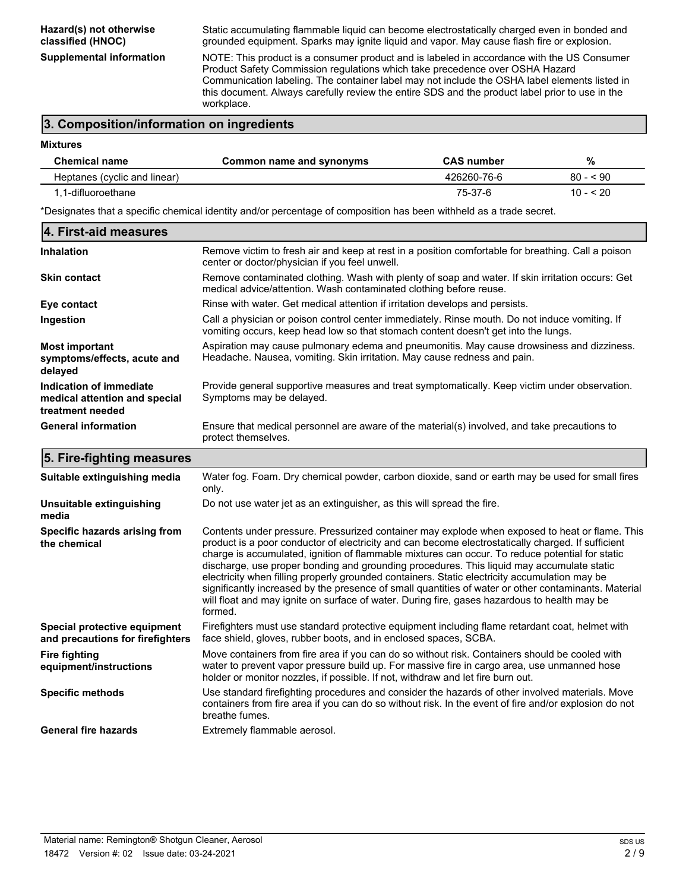**Hazard(s) not otherwise classified (HNOC)**

Static accumulating flammable liquid can become electrostatically charged even in bonded and grounded equipment. Sparks may ignite liquid and vapor. May cause flash fire or explosion.

**Mixtures**

**Supplemental information** NOTE: This product is a consumer product and is labeled in accordance with the US Consumer Product Safety Commission regulations which take precedence over OSHA Hazard Communication labeling. The container label may not include the OSHA label elements listed in this document. Always carefully review the entire SDS and the product label prior to use in the workplace.

# **3. Composition/information on ingredients**

| <b>Chemical name</b>         | Common name and synonyms | <b>CAS number</b> | %          |  |
|------------------------------|--------------------------|-------------------|------------|--|
| Heptanes (cyclic and linear) |                          | 426260-76-6       | $80 - 90$  |  |
| 1.1-difluoroethane           |                          | 75-37-6           | $10 - 520$ |  |
|                              |                          |                   |            |  |

\*Designates that a specific chemical identity and/or percentage of composition has been withheld as a trade secret.

| 4. First-aid measures                                                        |                                                                                                                                                                                      |
|------------------------------------------------------------------------------|--------------------------------------------------------------------------------------------------------------------------------------------------------------------------------------|
| <b>Inhalation</b>                                                            | Remove victim to fresh air and keep at rest in a position comfortable for breathing. Call a poison<br>center or doctor/physician if you feel unwell.                                 |
| <b>Skin contact</b>                                                          | Remove contaminated clothing. Wash with plenty of soap and water. If skin irritation occurs: Get<br>medical advice/attention. Wash contaminated clothing before reuse.               |
| Eye contact                                                                  | Rinse with water. Get medical attention if irritation develops and persists.                                                                                                         |
| Ingestion                                                                    | Call a physician or poison control center immediately. Rinse mouth. Do not induce vomiting. If<br>vomiting occurs, keep head low so that stomach content doesn't get into the lungs. |
| <b>Most important</b><br>symptoms/effects, acute and<br>delayed              | Aspiration may cause pulmonary edema and pneumonitis. May cause drowsiness and dizziness.<br>Headache. Nausea, vomiting. Skin irritation. May cause redness and pain.                |
| Indication of immediate<br>medical attention and special<br>treatment needed | Provide general supportive measures and treat symptomatically. Keep victim under observation.<br>Symptoms may be delayed.                                                            |
| <b>General information</b>                                                   | Ensure that medical personnel are aware of the material(s) involved, and take precautions to<br>protect themselves.                                                                  |

## **5. Fire-fighting measures**

| Suitable extinguishing media                                     | Water fog. Foam. Dry chemical powder, carbon dioxide, sand or earth may be used for small fires<br>only.                                                                                                                                                                                                                                                                                                                                                                                                                                                                                                                                                                                                                 |
|------------------------------------------------------------------|--------------------------------------------------------------------------------------------------------------------------------------------------------------------------------------------------------------------------------------------------------------------------------------------------------------------------------------------------------------------------------------------------------------------------------------------------------------------------------------------------------------------------------------------------------------------------------------------------------------------------------------------------------------------------------------------------------------------------|
| Unsuitable extinguishing<br>media                                | Do not use water jet as an extinguisher, as this will spread the fire.                                                                                                                                                                                                                                                                                                                                                                                                                                                                                                                                                                                                                                                   |
| Specific hazards arising from<br>the chemical                    | Contents under pressure. Pressurized container may explode when exposed to heat or flame. This<br>product is a poor conductor of electricity and can become electrostatically charged. If sufficient<br>charge is accumulated, ignition of flammable mixtures can occur. To reduce potential for static<br>discharge, use proper bonding and grounding procedures. This liquid may accumulate static<br>electricity when filling properly grounded containers. Static electricity accumulation may be<br>significantly increased by the presence of small quantities of water or other contaminants. Material<br>will float and may ignite on surface of water. During fire, gases hazardous to health may be<br>formed. |
| Special protective equipment<br>and precautions for firefighters | Firefighters must use standard protective equipment including flame retardant coat, helmet with<br>face shield, gloves, rubber boots, and in enclosed spaces, SCBA.                                                                                                                                                                                                                                                                                                                                                                                                                                                                                                                                                      |
| <b>Fire fighting</b><br>equipment/instructions                   | Move containers from fire area if you can do so without risk. Containers should be cooled with<br>water to prevent vapor pressure build up. For massive fire in cargo area, use unmanned hose<br>holder or monitor nozzles, if possible. If not, withdraw and let fire burn out.                                                                                                                                                                                                                                                                                                                                                                                                                                         |
| <b>Specific methods</b>                                          | Use standard firefighting procedures and consider the hazards of other involved materials. Move<br>containers from fire area if you can do so without risk. In the event of fire and/or explosion do not<br>breathe fumes.                                                                                                                                                                                                                                                                                                                                                                                                                                                                                               |
| <b>General fire hazards</b>                                      | Extremely flammable aerosol.                                                                                                                                                                                                                                                                                                                                                                                                                                                                                                                                                                                                                                                                                             |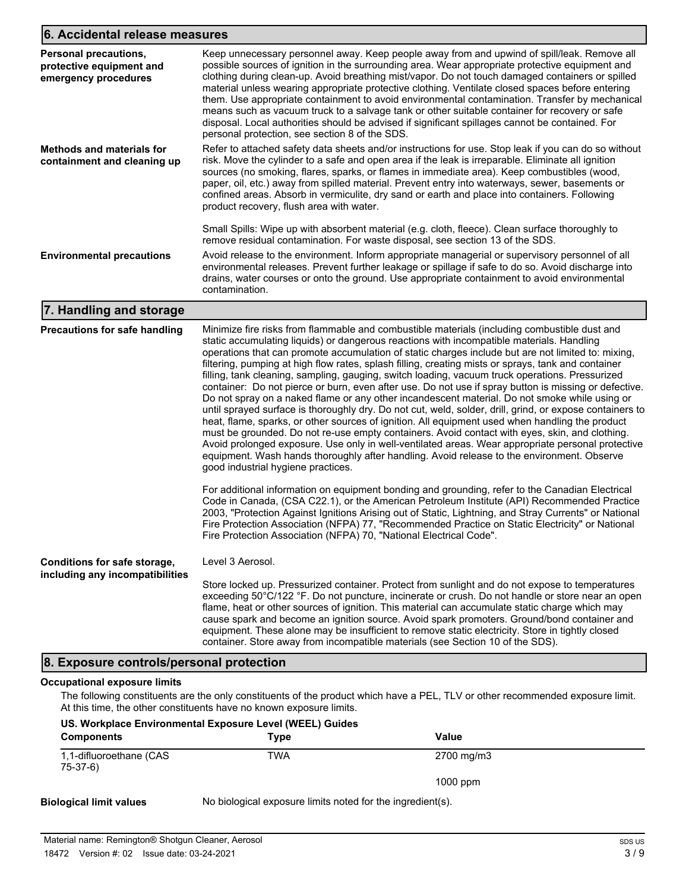# **6. Accidental release measures**

| <b>Personal precautions,</b><br>protective equipment and<br>emergency procedures | Keep unnecessary personnel away. Keep people away from and upwind of spill/leak. Remove all<br>possible sources of ignition in the surrounding area. Wear appropriate protective equipment and<br>clothing during clean-up. Avoid breathing mist/vapor. Do not touch damaged containers or spilled<br>material unless wearing appropriate protective clothing. Ventilate closed spaces before entering<br>them. Use appropriate containment to avoid environmental contamination. Transfer by mechanical<br>means such as vacuum truck to a salvage tank or other suitable container for recovery or safe<br>disposal. Local authorities should be advised if significant spillages cannot be contained. For<br>personal protection, see section 8 of the SDS. |
|----------------------------------------------------------------------------------|----------------------------------------------------------------------------------------------------------------------------------------------------------------------------------------------------------------------------------------------------------------------------------------------------------------------------------------------------------------------------------------------------------------------------------------------------------------------------------------------------------------------------------------------------------------------------------------------------------------------------------------------------------------------------------------------------------------------------------------------------------------|
| <b>Methods and materials for</b><br>containment and cleaning up                  | Refer to attached safety data sheets and/or instructions for use. Stop leak if you can do so without<br>risk. Move the cylinder to a safe and open area if the leak is irreparable. Eliminate all ignition<br>sources (no smoking, flares, sparks, or flames in immediate area). Keep combustibles (wood,<br>paper, oil, etc.) away from spilled material. Prevent entry into waterways, sewer, basements or<br>confined areas. Absorb in vermiculite, dry sand or earth and place into containers. Following<br>product recovery, flush area with water.                                                                                                                                                                                                      |
|                                                                                  | Small Spills: Wipe up with absorbent material (e.g. cloth, fleece). Clean surface thoroughly to<br>remove residual contamination. For waste disposal, see section 13 of the SDS.                                                                                                                                                                                                                                                                                                                                                                                                                                                                                                                                                                               |
| <b>Environmental precautions</b>                                                 | Avoid release to the environment. Inform appropriate managerial or supervisory personnel of all<br>environmental releases. Prevent further leakage or spillage if safe to do so. Avoid discharge into<br>drains, water courses or onto the ground. Use appropriate containment to avoid environmental<br>contamination.                                                                                                                                                                                                                                                                                                                                                                                                                                        |

# **7. Handling and storage**

| <b>Precautions for safe handling</b>                            | Minimize fire risks from flammable and combustible materials (including combustible dust and<br>static accumulating liquids) or dangerous reactions with incompatible materials. Handling<br>operations that can promote accumulation of static charges include but are not limited to: mixing,<br>filtering, pumping at high flow rates, splash filling, creating mists or sprays, tank and container<br>filling, tank cleaning, sampling, gauging, switch loading, vacuum truck operations. Pressurized<br>container: Do not pierce or burn, even after use. Do not use if spray button is missing or defective.<br>Do not spray on a naked flame or any other incandescent material. Do not smoke while using or<br>until sprayed surface is thoroughly dry. Do not cut, weld, solder, drill, grind, or expose containers to<br>heat, flame, sparks, or other sources of ignition. All equipment used when handling the product<br>must be grounded. Do not re-use empty containers. Avoid contact with eyes, skin, and clothing.<br>Avoid prolonged exposure. Use only in well-ventilated areas. Wear appropriate personal protective<br>equipment. Wash hands thoroughly after handling. Avoid release to the environment. Observe<br>good industrial hygiene practices. |  |  |
|-----------------------------------------------------------------|-------------------------------------------------------------------------------------------------------------------------------------------------------------------------------------------------------------------------------------------------------------------------------------------------------------------------------------------------------------------------------------------------------------------------------------------------------------------------------------------------------------------------------------------------------------------------------------------------------------------------------------------------------------------------------------------------------------------------------------------------------------------------------------------------------------------------------------------------------------------------------------------------------------------------------------------------------------------------------------------------------------------------------------------------------------------------------------------------------------------------------------------------------------------------------------------------------------------------------------------------------------------------------|--|--|
|                                                                 | For additional information on equipment bonding and grounding, refer to the Canadian Electrical<br>Code in Canada, (CSA C22.1), or the American Petroleum Institute (API) Recommended Practice<br>2003, "Protection Against Ignitions Arising out of Static, Lightning, and Stray Currents" or National<br>Fire Protection Association (NFPA) 77, "Recommended Practice on Static Electricity" or National<br>Fire Protection Association (NFPA) 70, "National Electrical Code".                                                                                                                                                                                                                                                                                                                                                                                                                                                                                                                                                                                                                                                                                                                                                                                              |  |  |
| Conditions for safe storage,<br>including any incompatibilities | Level 3 Aerosol.                                                                                                                                                                                                                                                                                                                                                                                                                                                                                                                                                                                                                                                                                                                                                                                                                                                                                                                                                                                                                                                                                                                                                                                                                                                              |  |  |
|                                                                 | Store locked up. Pressurized container. Protect from sunlight and do not expose to temperatures<br>exceeding 50°C/122 °F. Do not puncture, incinerate or crush. Do not handle or store near an open<br>flame, heat or other sources of ignition. This material can accumulate static charge which may<br>cause spark and become an ignition source. Avoid spark promoters. Ground/bond container and<br>equipment. These alone may be insufficient to remove static electricity. Store in tightly closed<br>container. Store away from incompatible materials (see Section 10 of the SDS).                                                                                                                                                                                                                                                                                                                                                                                                                                                                                                                                                                                                                                                                                    |  |  |

# **8. Exposure controls/personal protection**

#### **Occupational exposure limits**

The following constituents are the only constituents of the product which have a PEL, TLV or other recommended exposure limit. At this time, the other constituents have no known exposure limits.

| US. Workplace Environmental Exposure Level (WEEL) Guides |                                                            |            |  |
|----------------------------------------------------------|------------------------------------------------------------|------------|--|
| <b>Components</b>                                        | Tvpe                                                       | Value      |  |
| 1,1-difluoroethane (CAS<br>$75-37-6$                     | TWA                                                        | 2700 mg/m3 |  |
|                                                          |                                                            | $1000$ ppm |  |
| Biological limit values                                  | No biological exposure limits noted for the ingredient(s). |            |  |

# Material name: Remington® Shotgun Cleaner, Aerosol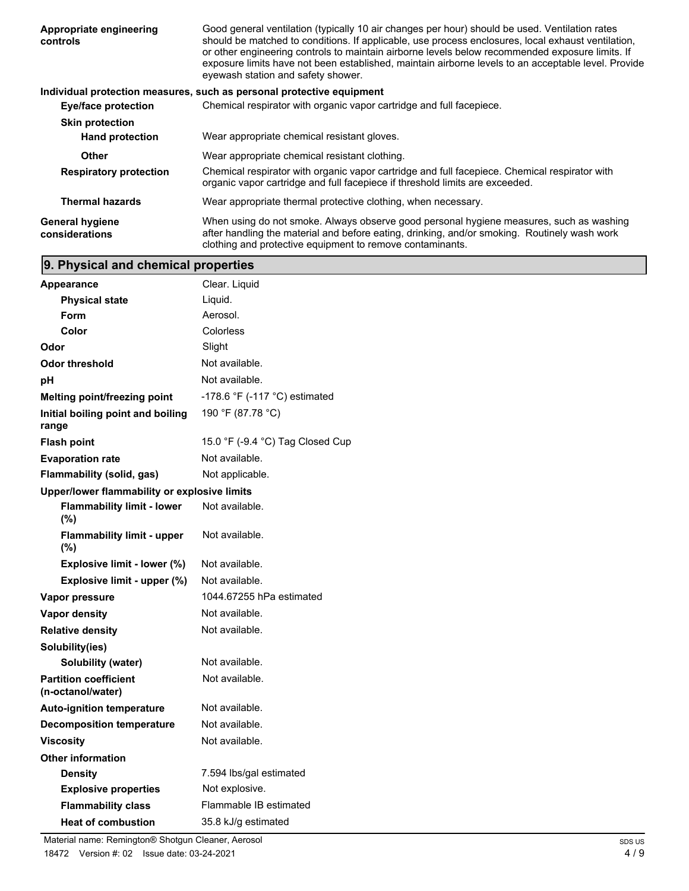| Appropriate engineering<br>controls      | Good general ventilation (typically 10 air changes per hour) should be used. Ventilation rates<br>should be matched to conditions. If applicable, use process enclosures, local exhaust ventilation,<br>or other engineering controls to maintain airborne levels below recommended exposure limits. If<br>exposure limits have not been established, maintain airborne levels to an acceptable level. Provide<br>eyewash station and safety shower. |  |
|------------------------------------------|------------------------------------------------------------------------------------------------------------------------------------------------------------------------------------------------------------------------------------------------------------------------------------------------------------------------------------------------------------------------------------------------------------------------------------------------------|--|
|                                          | Individual protection measures, such as personal protective equipment                                                                                                                                                                                                                                                                                                                                                                                |  |
| <b>Eye/face protection</b>               | Chemical respirator with organic vapor cartridge and full facepiece.                                                                                                                                                                                                                                                                                                                                                                                 |  |
| <b>Skin protection</b>                   |                                                                                                                                                                                                                                                                                                                                                                                                                                                      |  |
| <b>Hand protection</b>                   | Wear appropriate chemical resistant gloves.                                                                                                                                                                                                                                                                                                                                                                                                          |  |
| Other                                    | Wear appropriate chemical resistant clothing.                                                                                                                                                                                                                                                                                                                                                                                                        |  |
| <b>Respiratory protection</b>            | Chemical respirator with organic vapor cartridge and full facepiece. Chemical respirator with<br>organic vapor cartridge and full facepiece if threshold limits are exceeded.                                                                                                                                                                                                                                                                        |  |
| <b>Thermal hazards</b>                   | Wear appropriate thermal protective clothing, when necessary.                                                                                                                                                                                                                                                                                                                                                                                        |  |
| <b>General hygiene</b><br>considerations | When using do not smoke. Always observe good personal hygiene measures, such as washing<br>after handling the material and before eating, drinking, and/or smoking. Routinely wash work<br>clothing and protective equipment to remove contaminants.                                                                                                                                                                                                 |  |

# **9. Physical and chemical properties**

| <b>Appearance</b>                                 | Clear. Liquid                    |
|---------------------------------------------------|----------------------------------|
| <b>Physical state</b>                             | Liquid.                          |
| Form                                              | Aerosol.                         |
| Color                                             | Colorless                        |
| Odor                                              | Slight                           |
| <b>Odor threshold</b>                             | Not available.                   |
| рH                                                | Not available.                   |
| Melting point/freezing point                      | -178.6 °F (-117 °C) estimated    |
| Initial boiling point and boiling<br>range        | 190 °F (87.78 °C)                |
| <b>Flash point</b>                                | 15.0 °F (-9.4 °C) Tag Closed Cup |
| <b>Evaporation rate</b>                           | Not available.                   |
| Flammability (solid, gas)                         | Not applicable.                  |
| Upper/lower flammability or explosive limits      |                                  |
| <b>Flammability limit - lower</b><br>(%)          | Not available.                   |
| <b>Flammability limit - upper</b><br>(%)          | Not available.                   |
| Explosive limit - lower (%)                       | Not available.                   |
| Explosive limit - upper (%)                       | Not available.                   |
| Vapor pressure                                    | 1044.67255 hPa estimated         |
| Vapor density                                     | Not available.                   |
| <b>Relative density</b>                           | Not available.                   |
| Solubility(ies)                                   |                                  |
| Solubility (water)                                | Not available.                   |
| <b>Partition coefficient</b><br>(n-octanol/water) | Not available.                   |
| <b>Auto-ignition temperature</b>                  | Not available.                   |
| <b>Decomposition temperature</b>                  | Not available.                   |
| <b>Viscosity</b>                                  | Not available.                   |
| <b>Other information</b>                          |                                  |
| <b>Density</b>                                    | 7.594 lbs/gal estimated          |
| <b>Explosive properties</b>                       | Not explosive.                   |
| <b>Flammability class</b>                         | Flammable IB estimated           |
| <b>Heat of combustion</b>                         | 35.8 kJ/g estimated              |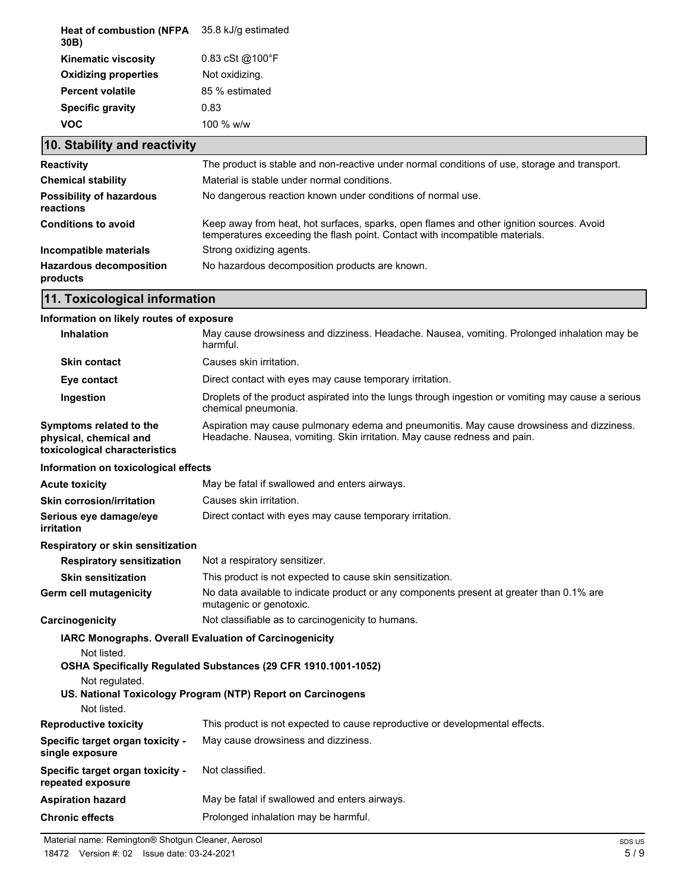| Heat of combustion (NFPA 35.8 kJ/g estimated<br>30B) |                                    |
|------------------------------------------------------|------------------------------------|
| <b>Kinematic viscosity</b>                           | $0.83 \text{ cSt } @100 \text{°F}$ |
| <b>Oxidizing properties</b>                          | Not oxidizing.                     |
| <b>Percent volatile</b>                              | 85 % estimated                     |
| <b>Specific gravity</b>                              | 0.83                               |
| voc                                                  | 100 % $w/w$                        |

# **10. Stability and reactivity**

| <b>Reactivity</b>                            | The product is stable and non-reactive under normal conditions of use, storage and transport.                                                                            |
|----------------------------------------------|--------------------------------------------------------------------------------------------------------------------------------------------------------------------------|
| <b>Chemical stability</b>                    | Material is stable under normal conditions.                                                                                                                              |
| <b>Possibility of hazardous</b><br>reactions | No dangerous reaction known under conditions of normal use.                                                                                                              |
| <b>Conditions to avoid</b>                   | Keep away from heat, hot surfaces, sparks, open flames and other ignition sources. Avoid<br>temperatures exceeding the flash point. Contact with incompatible materials. |
| Incompatible materials                       | Strong oxidizing agents.                                                                                                                                                 |
| <b>Hazardous decomposition</b><br>products   | No hazardous decomposition products are known.                                                                                                                           |

# **11. Toxicological information**

# **Information on likely routes of exposure**

| Inhalation                                                                         | May cause drowsiness and dizziness. Headache. Nausea, vomiting. Prolonged inhalation may be<br>harmful.                                                               |
|------------------------------------------------------------------------------------|-----------------------------------------------------------------------------------------------------------------------------------------------------------------------|
| <b>Skin contact</b>                                                                | Causes skin irritation.                                                                                                                                               |
| Eye contact                                                                        | Direct contact with eyes may cause temporary irritation.                                                                                                              |
| Ingestion                                                                          | Droplets of the product aspirated into the lungs through ingestion or vomiting may cause a serious<br>chemical pneumonia.                                             |
| Symptoms related to the<br>physical, chemical and<br>toxicological characteristics | Aspiration may cause pulmonary edema and pneumonitis. May cause drowsiness and dizziness.<br>Headache. Nausea, vomiting. Skin irritation. May cause redness and pain. |
| Information on toxicological effects                                               |                                                                                                                                                                       |
| <b>Acute toxicity</b>                                                              | May be fatal if swallowed and enters airways.                                                                                                                         |
| Skin corrosion/irritation                                                          | Causes skin irritation.                                                                                                                                               |
| Serious eye damage/eye<br>irritation                                               | Direct contact with eyes may cause temporary irritation.                                                                                                              |
| Respiratory or skin sensitization                                                  |                                                                                                                                                                       |
| <b>Respiratory sensitization</b>                                                   | Not a respiratory sensitizer.                                                                                                                                         |
| <b>Skin sensitization</b>                                                          | This product is not expected to cause skin sensitization.                                                                                                             |
| Germ cell mutagenicity                                                             | No data available to indicate product or any components present at greater than 0.1% are<br>mutagenic or genotoxic.                                                   |
| Carcinogenicity                                                                    | Not classifiable as to carcinogenicity to humans.                                                                                                                     |
|                                                                                    | IARC Monographs. Overall Evaluation of Carcinogenicity                                                                                                                |
| Not listed.<br>Not regulated.<br>Not listed.                                       | OSHA Specifically Regulated Substances (29 CFR 1910.1001-1052)<br>US. National Toxicology Program (NTP) Report on Carcinogens                                         |
| <b>Reproductive toxicity</b>                                                       | This product is not expected to cause reproductive or developmental effects.                                                                                          |
| Specific target organ toxicity -<br>single exposure                                | May cause drowsiness and dizziness.                                                                                                                                   |
| Specific target organ toxicity -<br>repeated exposure                              | Not classified.                                                                                                                                                       |
| <b>Aspiration hazard</b>                                                           | May be fatal if swallowed and enters airways.                                                                                                                         |
| <b>Chronic effects</b>                                                             | Prolonged inhalation may be harmful.                                                                                                                                  |
|                                                                                    |                                                                                                                                                                       |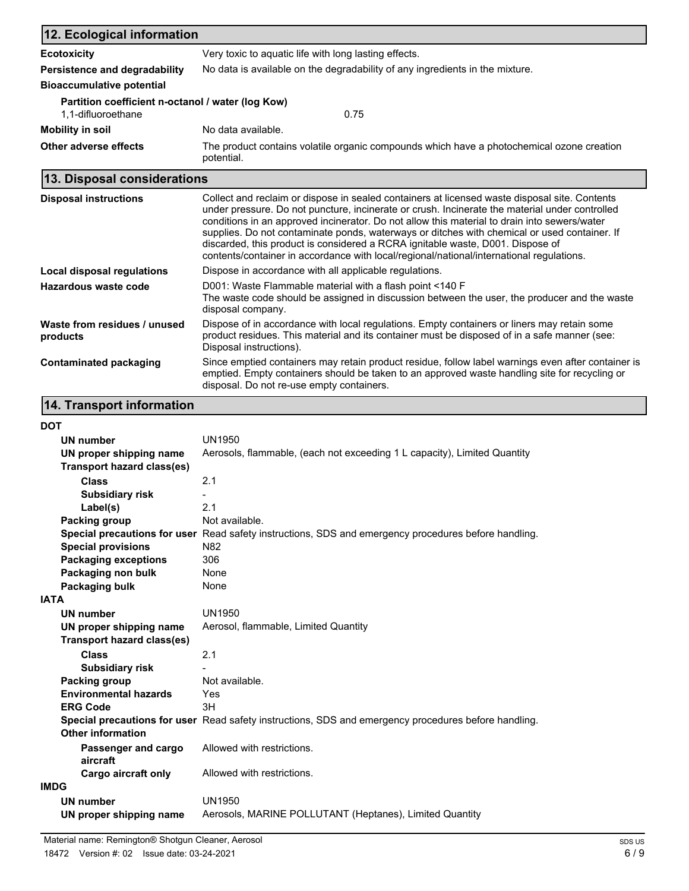| 12. Ecological information                        |                                                                                                         |  |
|---------------------------------------------------|---------------------------------------------------------------------------------------------------------|--|
| <b>Ecotoxicity</b>                                | Very toxic to aquatic life with long lasting effects.                                                   |  |
| Persistence and degradability                     | No data is available on the degradability of any ingredients in the mixture.                            |  |
| <b>Bioaccumulative potential</b>                  |                                                                                                         |  |
| Partition coefficient n-octanol / water (log Kow) |                                                                                                         |  |
| 1,1-difluoroethane                                | 0.75                                                                                                    |  |
| Mobility in soil                                  | No data available.                                                                                      |  |
| Other adverse effects                             | The product contains volatile organic compounds which have a photochemical ozone creation<br>potential. |  |
| 13. Disposal considerations                       |                                                                                                         |  |

| <b>Disposal instructions</b>             | Collect and reclaim or dispose in sealed containers at licensed waste disposal site. Contents<br>under pressure. Do not puncture, incinerate or crush. Incinerate the material under controlled<br>conditions in an approved incinerator. Do not allow this material to drain into sewers/water<br>supplies. Do not contaminate ponds, waterways or ditches with chemical or used container. If<br>discarded, this product is considered a RCRA ignitable waste, D001. Dispose of<br>contents/container in accordance with local/regional/national/international regulations. |
|------------------------------------------|-------------------------------------------------------------------------------------------------------------------------------------------------------------------------------------------------------------------------------------------------------------------------------------------------------------------------------------------------------------------------------------------------------------------------------------------------------------------------------------------------------------------------------------------------------------------------------|
| Local disposal regulations               | Dispose in accordance with all applicable regulations.                                                                                                                                                                                                                                                                                                                                                                                                                                                                                                                        |
| Hazardous waste code                     | D001: Waste Flammable material with a flash point <140 F<br>The waste code should be assigned in discussion between the user, the producer and the waste<br>disposal company.                                                                                                                                                                                                                                                                                                                                                                                                 |
| Waste from residues / unused<br>products | Dispose of in accordance with local regulations. Empty containers or liners may retain some<br>product residues. This material and its container must be disposed of in a safe manner (see:<br>Disposal instructions).                                                                                                                                                                                                                                                                                                                                                        |
| <b>Contaminated packaging</b>            | Since emptied containers may retain product residue, follow label warnings even after container is<br>emptied. Empty containers should be taken to an approved waste handling site for recycling or<br>disposal. Do not re-use empty containers.                                                                                                                                                                                                                                                                                                                              |

# **14. Transport information**

| ٠<br>I<br>w<br>v |
|------------------|
|------------------|

| <b>DOT</b>                        |                                                                                                      |  |
|-----------------------------------|------------------------------------------------------------------------------------------------------|--|
| UN number                         | <b>UN1950</b>                                                                                        |  |
| UN proper shipping name           | Aerosols, flammable, (each not exceeding 1 L capacity), Limited Quantity                             |  |
| <b>Transport hazard class(es)</b> |                                                                                                      |  |
| <b>Class</b>                      | 2.1                                                                                                  |  |
| <b>Subsidiary risk</b>            |                                                                                                      |  |
| Label(s)                          | 2.1                                                                                                  |  |
| <b>Packing group</b>              | Not available.                                                                                       |  |
|                                   | Special precautions for user Read safety instructions, SDS and emergency procedures before handling. |  |
| <b>Special provisions</b>         | N82                                                                                                  |  |
| <b>Packaging exceptions</b>       | 306                                                                                                  |  |
| Packaging non bulk                | None                                                                                                 |  |
| Packaging bulk                    | None                                                                                                 |  |
| <b>IATA</b>                       |                                                                                                      |  |
| <b>UN number</b>                  | <b>UN1950</b>                                                                                        |  |
| UN proper shipping name           | Aerosol, flammable, Limited Quantity                                                                 |  |
| <b>Transport hazard class(es)</b> |                                                                                                      |  |
| <b>Class</b>                      | 2.1                                                                                                  |  |
| <b>Subsidiary risk</b>            |                                                                                                      |  |
| Packing group                     | Not available.                                                                                       |  |
| <b>Environmental hazards</b>      | Yes                                                                                                  |  |
| <b>ERG Code</b>                   | 3H                                                                                                   |  |
|                                   | Special precautions for user Read safety instructions, SDS and emergency procedures before handling. |  |
| Other information                 |                                                                                                      |  |
| Passenger and cargo<br>aircraft   | Allowed with restrictions.                                                                           |  |
| Cargo aircraft only               | Allowed with restrictions.                                                                           |  |
| <b>IMDG</b>                       |                                                                                                      |  |
| <b>UN number</b>                  | <b>UN1950</b>                                                                                        |  |
| UN proper shipping name           | Aerosols, MARINE POLLUTANT (Heptanes), Limited Quantity                                              |  |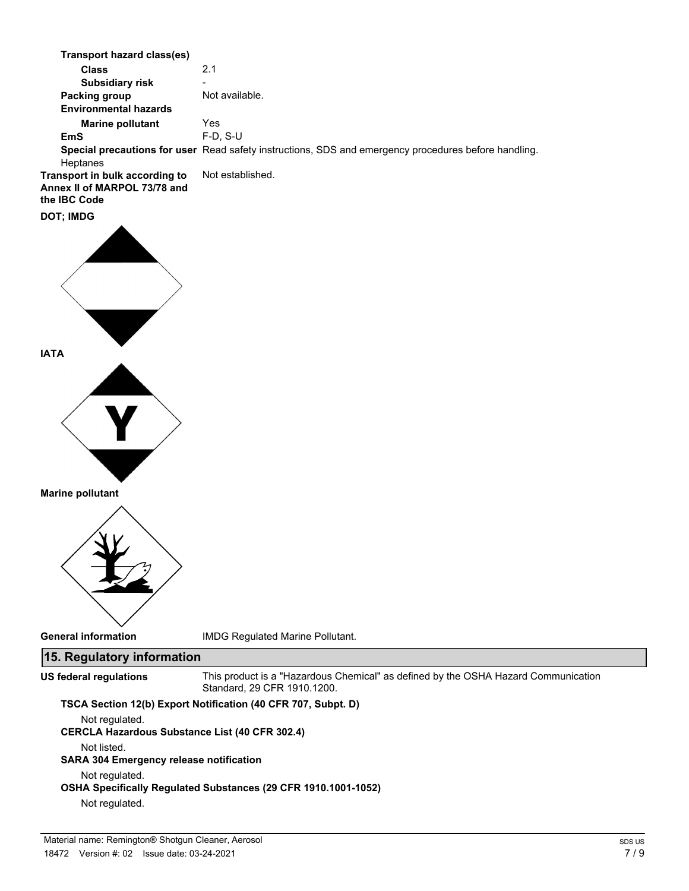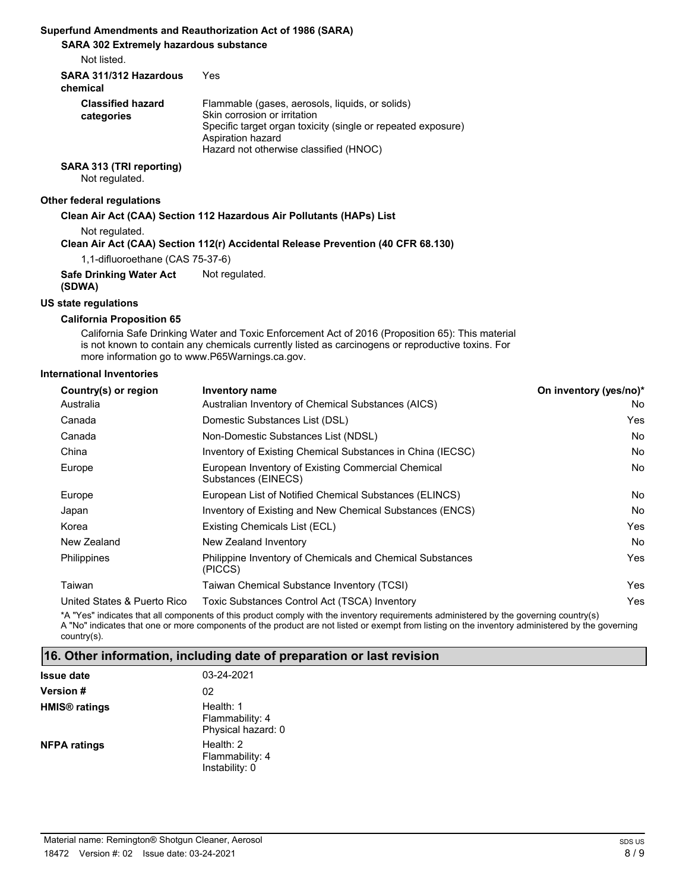## **Superfund Amendments and Reauthorization Act of 1986 (SARA)**

**SARA 302 Extremely hazardous substance**

Not listed.

| SARA 311/312 Hazardous<br>chemical     | Yes                                                                                                                                                                                                            |
|----------------------------------------|----------------------------------------------------------------------------------------------------------------------------------------------------------------------------------------------------------------|
| <b>Classified hazard</b><br>categories | Flammable (gases, aerosols, liquids, or solids)<br>Skin corrosion or irritation<br>Specific target organ toxicity (single or repeated exposure)<br>Aspiration hazard<br>Hazard not otherwise classified (HNOC) |
|                                        |                                                                                                                                                                                                                |

**SARA 313 (TRI reporting)**

Not regulated.

### **Other federal regulations**

#### **Clean Air Act (CAA) Section 112 Hazardous Air Pollutants (HAPs) List**

Not regulated.

#### **Clean Air Act (CAA) Section 112(r) Accidental Release Prevention (40 CFR 68.130)**

1,1-difluoroethane (CAS 75-37-6)

**Safe Drinking Water Act** Not regulated.

**(SDWA)**

### **US state regulations**

### **California Proposition 65**

California Safe Drinking Water and Toxic Enforcement Act of 2016 (Proposition 65): This material is not known to contain any chemicals currently listed as carcinogens or reproductive toxins. For more information go to www.P65Warnings.ca.gov.

#### **International Inventories**

| Country(s) or region        | On inventory (yes/no)*<br><b>Inventory name</b>                                                                                        |     |
|-----------------------------|----------------------------------------------------------------------------------------------------------------------------------------|-----|
| Australia                   | Australian Inventory of Chemical Substances (AICS)                                                                                     | No  |
| Canada                      | Domestic Substances List (DSL)                                                                                                         | Yes |
| Canada                      | Non-Domestic Substances List (NDSL)                                                                                                    | No  |
| China                       | Inventory of Existing Chemical Substances in China (IECSC)                                                                             | No. |
| Europe                      | European Inventory of Existing Commercial Chemical<br>Substances (EINECS)                                                              | No  |
| Europe                      | European List of Notified Chemical Substances (ELINCS)                                                                                 | No  |
| Japan                       | Inventory of Existing and New Chemical Substances (ENCS)                                                                               | No. |
| Korea                       | Existing Chemicals List (ECL)                                                                                                          | Yes |
| New Zealand                 | New Zealand Inventory                                                                                                                  | No  |
| Philippines                 | Philippine Inventory of Chemicals and Chemical Substances<br>(PICCS)                                                                   | Yes |
| Taiwan                      | Taiwan Chemical Substance Inventory (TCSI)                                                                                             | Yes |
| United States & Puerto Rico | Toxic Substances Control Act (TSCA) Inventory                                                                                          | Yes |
|                             | *A "Voe" indicatos that all components of this product comply with the inventory requirements administered by the governing country(s) |     |

uct comply with the inventory requirements admini A "No" indicates that one or more components of the product are not listed or exempt from listing on the inventory administered by the governing country(s).

### **16. Other information, including date of preparation or last revision**

| <b>Issue date</b>               | 03-24-2021                                         |
|---------------------------------|----------------------------------------------------|
| <b>Version #</b>                | 02                                                 |
| <b>HMIS<sup>®</sup></b> ratings | Health: 1<br>Flammability: 4<br>Physical hazard: 0 |
| <b>NFPA ratings</b>             | Health: 2<br>Flammability: 4<br>Instability: 0     |